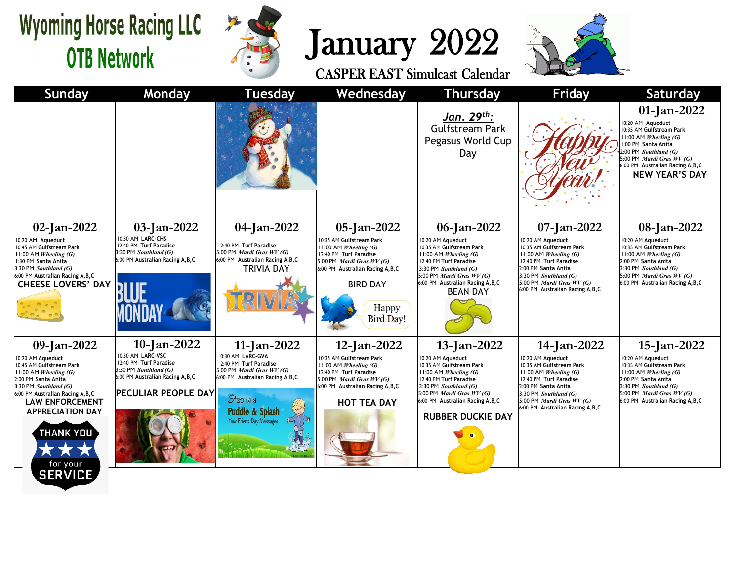## **Wyoming Horse Racing LLC OTB Network**

**SERVICE** 



## January 2022<br>CASPER EAST Simulcast Calendar



**Sunday Monday Tuesday Wednesday Thursday Friday Saturday 01-Jan-2022** *Jan. 29th:* 10:20 AM **Aqueduct** Gulfstream Park 10:35 AM **Gulfstream Park** 11:00 AM *Wheeling (G)* Pegasus World Cup 1:00 PM **Santa Anita** 2:00 PM *Southland (G)* Day 5:00 PM *Mardi Gras WV (G)* 6:00 PM **Australian Racing A,B,C NEW YEAR'S DAY 02-Jan-2022 03-Jan-2022 04-Jan-2022 05-Jan-2022 06-Jan-2022 07-Jan-2022 08-Jan-2022** 10:30 AM **LARC-CHS** 10:35 AM **Gulfstream Park** 10:20 AM **Aqueduct** 10:20 AM **Aqueduct** 10:20 AM **Aqueduct** 10:20 AM **Aqueduct** 12:40 PM **Turf Paradise** 12:40 PM **Turf Paradise** 10:45 AM **Gulfstream Park** 11:00 AM *Wheeling (G)* 10:35 AM **Gulfstream Park** 10:35 AM **Gulfstream Park** 10:35 AM **Gulfstream Park** 3:30 PM *Southland (G)* 5:00 PM *Mardi Gras WV (G)* 11:00 AM *Wheeling (G)* 12:40 PM **Turf Paradise** 11:00 AM *Wheeling (G)* 11:00 AM *Wheeling (G)* 11:00 AM *Wheeling (G)* 6:00 PM **Australian Racing A,B,C** 6:00 PM **Australian Racing A,B,C** 1:30 PM **Santa Anita** 5:00 PM *Mardi Gras WV (G)* 12:40 PM **Turf Paradise** 12:40 PM **Turf Paradise** 2:00 PM **Santa Anita** 3:30 PM *Southland (G)* TRIVIA DAY 6:00 PM **Australian Racing A,B,C** 3:30 PM *Southland (G)* 2:00 PM **Santa Anita** 3:30 PM *Southland (G)* 6:00 PM **Australian Racing A,B,C** 5:00 PM *Mardi Gras WV (G)* 3:30 PM *Southland (G)* 5:00 PM *Mardi Gras WV (G)* 6:00 PM **Australian Racing A,B,C** 5:00 PM *Mardi Gras WV (G)* 6:00 PM **Australian Racing A,B,C CHEESE LOVERS' DAY** BIRD DAY 6:00 PM **Australian Racing A,B,C** BEAN DAY Happy **Bird Day! 10-Jan-2022 09-Jan-2022 11-Jan-2022 12-Jan-2022 13-Jan-2022 14-Jan-2022 15-Jan-2022** 10:30 AM **LARC-VSC** 10:30 AM **LARC-GVA** 10:20 AM **Aqueduct** 10:20 AM **Aqueduct** 10:20 AM **Aqueduct** 10:20 AM **Aqueduct** 10:35 AM **Gulfstream Park** 12:40 PM **Turf Paradise** 12:40 PM **Turf Paradise** 10:45 AM **Gulfstream Park** 10:35 AM **Gulfstream Park** 11:00 AM *Wheeling (G)* 10:35 AM **Gulfstream Park** 10:35 AM **Gulfstream Park** 3:30 PM *Southland (G)* 5:00 PM *Mardi Gras WV (G)* 11:00 AM *Wheeling (G)* 12:40 PM **Turf Paradise** 11:00 AM *Wheeling (G)* 11:00 AM *Wheeling (G)* 11:00 AM *Wheeling (G)* 6:00 PM **Australian Racing A,B,C** 6:00 PM **Australian Racing A,B,C** 12:40 PM **Turf Paradise** 2:00 PM **Santa Anita** 2:00 PM **Santa Anita** 5:00 PM *Mardi Gras WV (G)* 12:40 PM **Turf Paradise** 3:30 PM *Southland (G)* 6:00 PM **Australian Racing A,B,C** 3:30 PM *Southland (G)* 2:00 PM **Santa Anita** 3:30 PM *Southland (G)* **PECULIAR PEOPLE DAY** 6:00 PM **Australian Racing A,B,C** 5:00 PM *Mardi Gras WV (G)* 3:30 PM *Southland (G)* 5:00 PM *Mardi Gras WV (G)* Step in a 6:00 PM **Australian Racing A,B,C LAW ENFORCEMENT HOT TEA DAY** 5:00 PM *Mardi Gras WV (G)* 6:00 PM **Australian Racing A,B,C**6:00 PM **Australian Racing A,B,C Puddle & Splasl APPRECIATION DAY RUBBER DUCKIE DAY** Your Friend Dav Me THANK YOU **ALL AN** for your